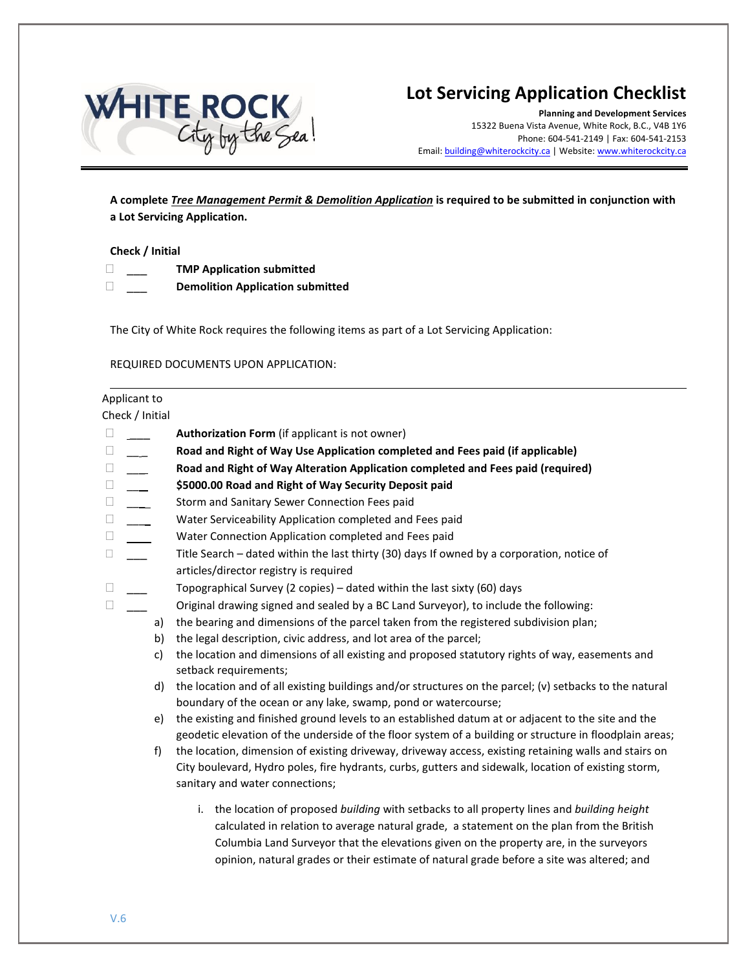

# **Lot Servicing Application Checklist**

**Planning and Development Services** 15322 Buena Vista Avenue, White Rock, B.C., V4B 1Y6 Phone: 604-541-2149 | Fax: 604-541-2153 Email: building@whiterockcity.ca | [Website: www.whiterock](http://www.whiterockcity.ca/)city.ca

**A complete** *Tree Management Permit & Demolition Application* **is required to be submitted in conjunction with a Lot Servicing Application.** 

## **Check / Initial**

- \_\_\_ **TMP Application submitted**
- \_\_\_ **Demolition Application submitted**

The City of White Rock requires the following items as part of a Lot Servicing Application:

## REQUIRED DOCUMENTS UPON APPLICATION:

#### Applicant to

Check / Initial

- \_\_\_ **Authorization Form** (if applicant is not owner)
- \_\_ \_ **Road and Right of Way Use Application completed and Fees paid (if applicable)**
- \_\_\_ **Road and Right of Way Alteration Application completed and Fees paid (required)**
- \_\_\_ **\$5000.00 Road and Right of Way Security Deposit paid**
- □ Storm and Sanitary Sewer Connection Fees paid
- $\square$  \_\_\_ Water Serviceability Application completed and Fees paid
- Water Connection Application completed and Fees paid
- $\square$  Title Search dated within the last thirty (30) days If owned by a corporation, notice of articles/director registry is required
- $\Box$  Topographical Survey (2 copies) dated within the last sixty (60) days
- $\Box$  Original drawing signed and sealed by a BC Land Surveyor), to include the following:
	- a) the bearing and dimensions of the parcel taken from the registered subdivision plan;
	- b) the legal description, civic address, and lot area of the parcel;
	- c) the location and dimensions of all existing and proposed statutory rights of way, easements and setback requirements;
	- d) the location and of all existing buildings and/or structures on the parcel; (v) setbacks to the natural boundary of the ocean or any lake, swamp, pond or watercourse;
	- e) the existing and finished ground levels to an established datum at or adjacent to the site and the geodetic elevation of the underside of the floor system of a building or structure in floodplain areas;
	- f) the location, dimension of existing driveway, driveway access, existing retaining walls and stairs on City boulevard, Hydro poles, fire hydrants, curbs, gutters and sidewalk, location of existing storm, sanitary and water connections;
		- i. the location of proposed *building* with setbacks to all property lines and *building height* calculated in relation to average natural grade, a statement on the plan from the British Columbia Land Surveyor that the elevations given on the property are, in the surveyors opinion, natural grades or their estimate of natural grade before a site was altered; and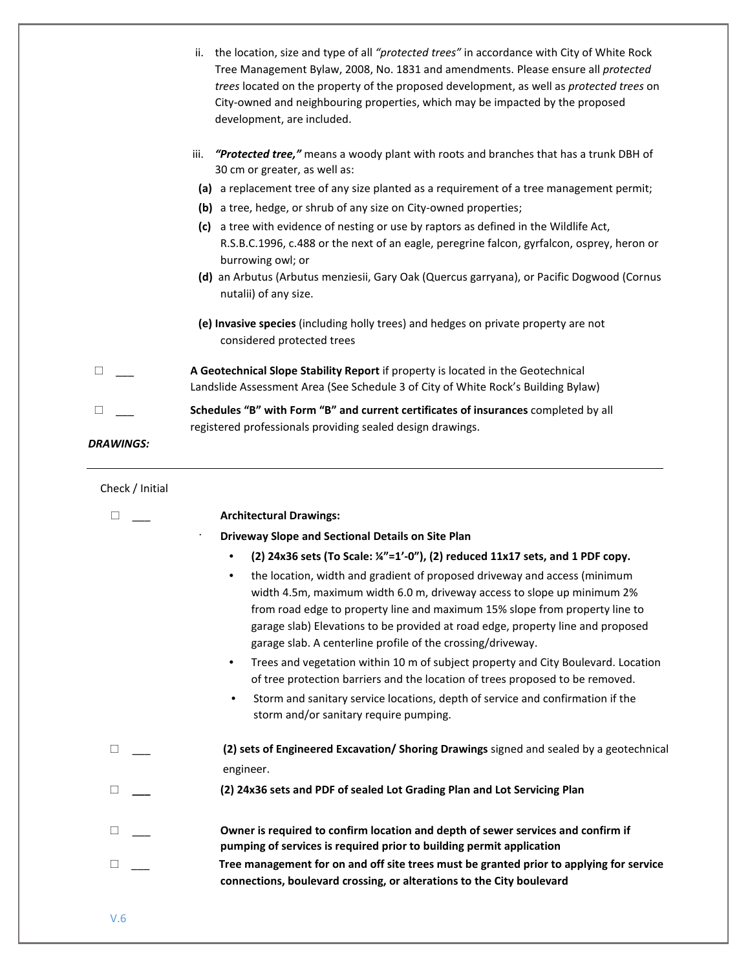|                  | ii. the location, size and type of all "protected trees" in accordance with City of White Rock<br>Tree Management Bylaw, 2008, No. 1831 and amendments. Please ensure all protected<br>trees located on the property of the proposed development, as well as protected trees on<br>City-owned and neighbouring properties, which may be impacted by the proposed<br>development, are included. |
|------------------|------------------------------------------------------------------------------------------------------------------------------------------------------------------------------------------------------------------------------------------------------------------------------------------------------------------------------------------------------------------------------------------------|
|                  | iii. "Protected tree," means a woody plant with roots and branches that has a trunk DBH of<br>30 cm or greater, as well as:<br>(a) a replacement tree of any size planted as a requirement of a tree management permit;                                                                                                                                                                        |
|                  | (b) a tree, hedge, or shrub of any size on City-owned properties;<br>(c) a tree with evidence of nesting or use by raptors as defined in the Wildlife Act,<br>R.S.B.C.1996, c.488 or the next of an eagle, peregrine falcon, gyrfalcon, osprey, heron or<br>burrowing owl; or<br>(d) an Arbutus (Arbutus menziesii, Gary Oak (Quercus garryana), or Pacific Dogwood (Cornus                    |
|                  | nutalii) of any size.<br>(e) Invasive species (including holly trees) and hedges on private property are not<br>considered protected trees                                                                                                                                                                                                                                                     |
| $\Box$           | A Geotechnical Slope Stability Report if property is located in the Geotechnical<br>Landslide Assessment Area (See Schedule 3 of City of White Rock's Building Bylaw)                                                                                                                                                                                                                          |
| <b>DRAWINGS:</b> | Schedules "B" with Form "B" and current certificates of insurances completed by all<br>registered professionals providing sealed design drawings.                                                                                                                                                                                                                                              |
| Check / Initial  |                                                                                                                                                                                                                                                                                                                                                                                                |
| ⊔                | <b>Architectural Drawings:</b>                                                                                                                                                                                                                                                                                                                                                                 |
|                  | Driveway Slope and Sectional Details on Site Plan                                                                                                                                                                                                                                                                                                                                              |
|                  | (2) 24x36 sets (To Scale: $\frac{1}{2}$ =1'-0"), (2) reduced 11x17 sets, and 1 PDF copy.                                                                                                                                                                                                                                                                                                       |
|                  |                                                                                                                                                                                                                                                                                                                                                                                                |
|                  | the location, width and gradient of proposed driveway and access (minimum<br>width 4.5m, maximum width 6.0 m, driveway access to slope up minimum 2%<br>from road edge to property line and maximum 15% slope from property line to<br>garage slab) Elevations to be provided at road edge, property line and proposed<br>garage slab. A centerline profile of the crossing/driveway.          |
|                  | Trees and vegetation within 10 m of subject property and City Boulevard. Location<br>$\bullet$<br>of tree protection barriers and the location of trees proposed to be removed.                                                                                                                                                                                                                |
|                  | Storm and sanitary service locations, depth of service and confirmation if the<br>$\bullet$<br>storm and/or sanitary require pumping.                                                                                                                                                                                                                                                          |
| □                | (2) sets of Engineered Excavation/ Shoring Drawings signed and sealed by a geotechnical                                                                                                                                                                                                                                                                                                        |
|                  | engineer.                                                                                                                                                                                                                                                                                                                                                                                      |
| ⊔                | (2) 24x36 sets and PDF of sealed Lot Grading Plan and Lot Servicing Plan                                                                                                                                                                                                                                                                                                                       |
| ⊔                | Owner is required to confirm location and depth of sewer services and confirm if<br>pumping of services is required prior to building permit application                                                                                                                                                                                                                                       |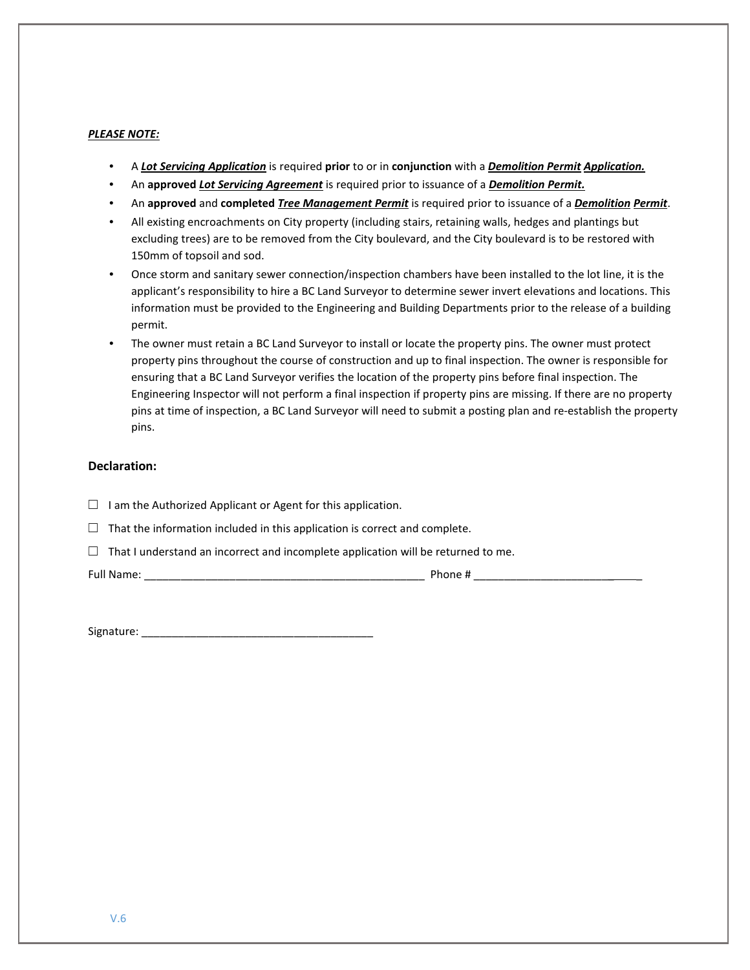## *PLEASE NOTE:*

- A *Lot Servicing Application* is required **prior** to or in **conjunction** with a *Demolition Permit Application.*
- An **approved** *Lot Servicing Agreement* is required prior to issuance of a *Demolition Permit.*
- An **approved** and **completed** *Tree Management Permit* is required prior to issuance of a *Demolition Permit*.
- All existing encroachments on City property (including stairs, retaining walls, hedges and plantings but excluding trees) are to be removed from the City boulevard, and the City boulevard is to be restored with 150mm of topsoil and sod.
- Once storm and sanitary sewer connection/inspection chambers have been installed to the lot line, it is the applicant's responsibility to hire a BC Land Surveyor to determine sewer invert elevations and locations. This information must be provided to the Engineering and Building Departments prior to the release of a building permit.
- The owner must retain a BC Land Surveyor to install or locate the property pins. The owner must protect property pins throughout the course of construction and up to final inspection. The owner is responsible for ensuring that a BC Land Surveyor verifies the location of the property pins before final inspection. The Engineering Inspector will not perform a final inspection if property pins are missing. If there are no property pins at time of inspection, a BC Land Surveyor will need to submit a posting plan and re-establish the property pins.

### **Declaration:**

- □ I am the Authorized Applicant or Agent for this application.
- $\Box$  That the information included in this application is correct and complete.
- $\Box$  That I understand an incorrect and incomplete application will be returned to me.

Full Name: \_\_\_\_\_\_\_\_\_\_\_\_\_\_\_\_\_\_\_\_\_\_\_\_\_\_\_\_\_\_\_\_\_\_\_\_\_\_\_\_\_\_\_\_\_\_ Phone # \_\_\_\_\_\_\_\_\_\_\_\_\_\_\_\_\_\_\_\_\_\_\_ \_

Signature: \_\_\_\_\_\_\_\_\_\_\_\_\_\_\_\_\_\_\_\_\_\_\_\_\_\_\_\_\_\_\_\_\_\_\_\_\_\_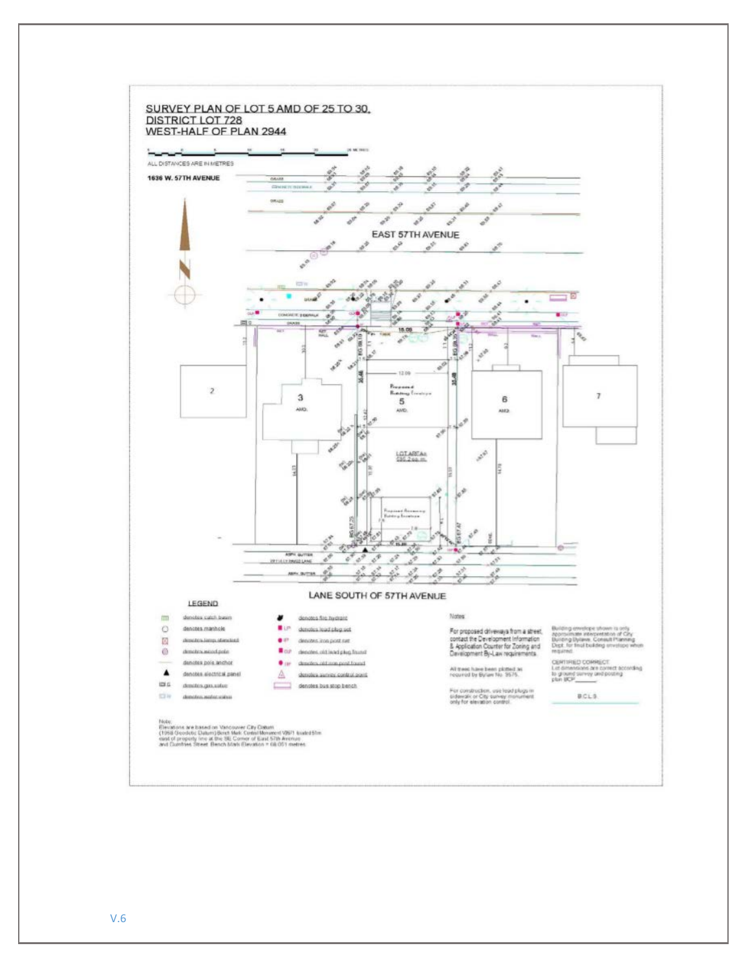